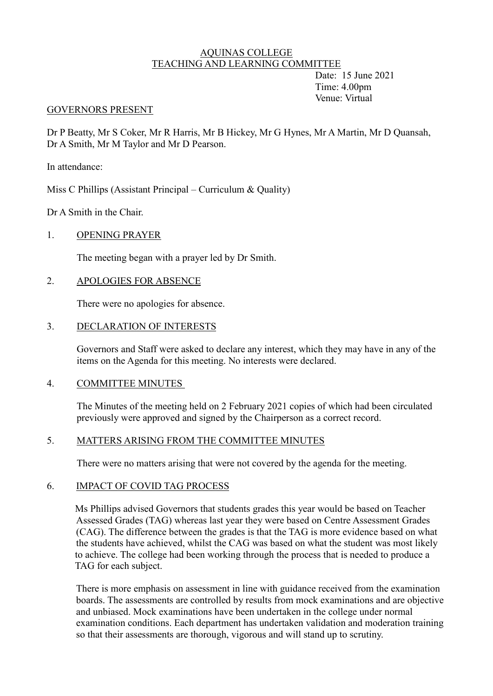#### AQUINAS COLLEGE TEACHING AND LEARNING COMMITTEE

Date: 15 June 2021 Time: 4.00pm Venue: Virtual

#### GOVERNORS PRESENT

Dr P Beatty, Mr S Coker, Mr R Harris, Mr B Hickey, Mr G Hynes, Mr A Martin, Mr D Quansah , Dr A Smith, Mr M Taylor and Mr D Pearson.

In attendance:

Miss C Phillips (Assistant Principal – Curriculum & Quality)

Dr A Smith in the Chair.

## 1. OPENING PRAYER

The meeting began with a prayer led by Dr Smith.

## 2. APOLOGIES FOR ABSENCE

There were no apologies for absence.

## 3. DECLARATION OF INTERESTS

Governors and Staff were asked to declare any interest, which they may have in any of the items on the Agenda for this meeting. No interests were declared.

#### 4. COMMITTEE MINUTES

The Minutes of the meeting held on 2 February 2021 copies of which had been circulated previously were approved and signed by the Chairperson as a correct record.

## 5. MATTERS ARISING FROM THE COMMITTEE MINUTES

There were no matters arising that were not covered by the agenda for the meeting.

#### 6. IMPACT OF COVID TAG PROCESS

Ms Phillips advised Governors that students grades this year would be based on Teacher Assessed Grades (TAG) whereas last year they were based on Centre Assessment Grades (CAG). The difference between the grades is that the TAG is more evidence based on what the students have achieved, whilst the CAG was based on what the student was most likely to achieve. The college had been working through the process that is needed to produce a TAG for each subject.

There is more emphasis on assessment in line with guidance received from the examination boards. The assessments are controlled by results from mock examinations and are objective and unbiased. Mock examinations have been undertaken in the college under normal examination conditions. Each department has undertaken validation and moderation training so that their assessments are thorough, vigorous and will stand up to scrutiny.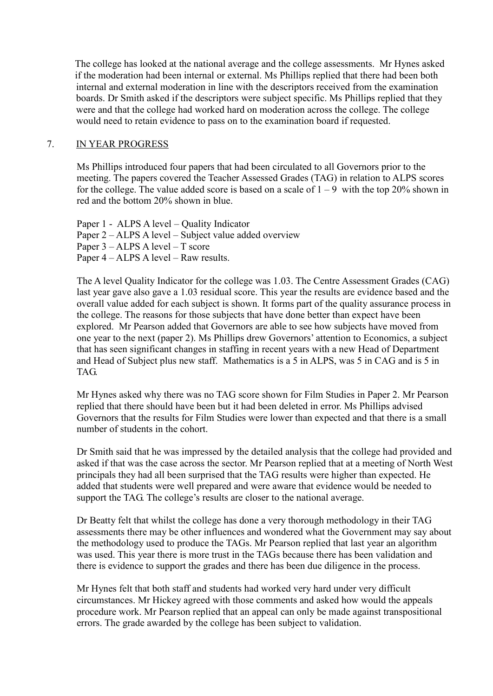The college has looked at the national average and the college assessments. Mr Hynes asked if the moderation had been internal or external. Ms Phillips replied that there had been both internal and external moderation in line with the descriptors received from the examination boards. Dr Smith asked if the descriptors were subject specific. Ms Phillips replied that they were and that the college had worked hard on moderation across the college. The college would need to retain evidence to pass on to the examination board if requested.

#### 7. IN YEAR PROGRESS

Ms Phillips introduced four papers that had been circulated to all Governors prior to the meeting. The papers covered the Teacher Assessed Grades (TAG) in relation to ALPS scores for the college. The value added score is based on a scale of  $1 - 9$  with the top 20% shown in red and the bottom 20% shown in blue.

Paper 1 - ALPS A level – Quality Indicator Paper 2 – ALPS A level – Subject value added overview Paper 3 – ALPS A level – T score Paper 4 – ALPS A level – Raw results.

The A level Quality Indicator for the college was 1.03. The Centre Assessment Grades (CAG) last year gave also gave a 1.03 residual score. This year the results are evidence based and the overall value added for each subject is shown. It forms part of the quality assurance process in the college. The reasons for those subjects that have done better than expect have been explored. Mr Pearson added that Governors are able to see how subjects have moved from one year to the next (paper 2). Ms Phillips drew Governors' attention to Economics, a subject that has seen significant changes in staffing in recent years with a new Head of Department and Head of Subject plus new staff. Mathematics is a 5 in ALPS, was 5 in CAG and is 5 in TAG.

Mr Hynes asked why there was no TAG score shown for Film Studies in Paper 2. Mr Pearson replied that there should have been but it had been deleted in error. Ms Phillips advised Governors that the results for Film Studies were lower than expected and that there is a small number of students in the cohort.

Dr Smith said that he was impressed by the detailed analysis that the college had provided and asked if that was the case across the sector. Mr Pearson replied that at a meeting of North West principals they had all been surprised that the TAG results were higher than expected. He added that students were well prepared and were aware that evidence would be needed to support the TAG. The college's results are closer to the national average.

Dr Beatty felt that whilst the college has done a very thorough methodology in their TAG assessments there may be other influences and wondered what the Government may say about the methodology used to produce the TAGs. Mr Pearson replied that last year an algorithm was used. This year there is more trust in the TAGs because there has been validation and there is evidence to support the grades and there has been due diligence in the process.

Mr Hynes felt that both staff and students had worked very hard under very difficult circumstances. Mr Hickey agreed with those comments and asked how would the appeals procedure work. Mr Pearson replied that an appeal can only be made against transpositional errors. The grade awarded by the college has been subject to validation.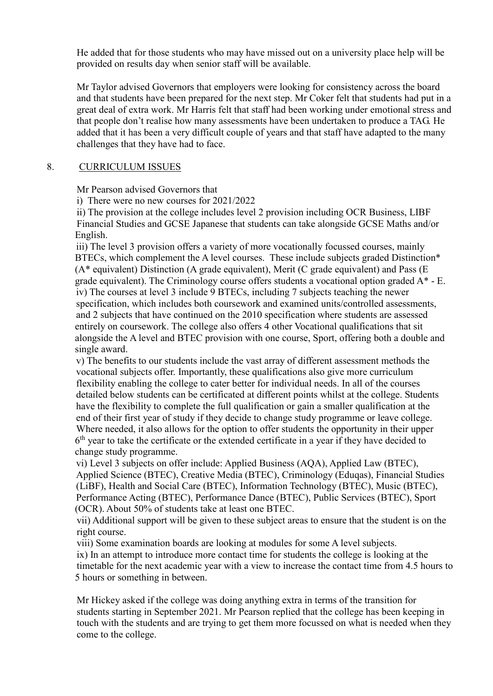He added that for those students who may have missed out on a university place help will be provided on results day when senior staff will be available.

Mr Taylor advised Governors that employers were looking for consistency across the board and that students have been prepared for the next step. Mr Coker felt that students had put in a great deal of extra work. Mr Harris felt that staff had been working under emotional stress and that people don't realise how many assessments have been undertaken to produce a TAG. He added that it has been a very difficult couple of years and that staff have adapted to the many challenges that they have had to face.

### 8. CURRICULUM ISSUES

Mr Pearson advised Governors that

i) There were no new courses for 2021/2022

ii) The provision at the college includes level 2 provision including OCR Business, LIBF Financial Studies and GCSE Japanese that students can take alongside GCSE Maths and/or English.

 iii) The level 3 provision offers a variety of more vocationally focussed courses, mainly BTECs, which complement the A level courses. These include subjects graded Distinction<sup>\*</sup> (A\* equivalent) Distinction (A grade equivalent), Merit (C grade equivalent) and Pass (E grade equivalent). The Criminology course offers students a vocational option graded A\* - E. iv) The courses at level 3 include 9 BTECs, including 7 subjects teaching the newer specification, which includes both coursework and examined units/controlled assessments, and 2 subjects that have continued on the 2010 specification where students are assessed entirely on coursework. The college also offers 4 other Vocational qualifications that sit alongside the A level and BTEC provision with one course, Sport, offering both a double and single award.

 v) The benefits to our students include the vast array of different assessment methods the vocational subjects offer. Importantly, these qualifications also give more curriculum flexibility enabling the college to cater better for individual needs. In all of the courses detailed below students can be certificated at different points whilst at the college. Students have the flexibility to complete the full qualification or gain a smaller qualification at the end of their first year of study if they decide to change study programme or leave college. Where needed, it also allows for the option to offer students the opportunity in their upper  $6<sup>th</sup>$  year to take the certificate or the extended certificate in a year if they have decided to change study programme.

 vi) Level 3 subjects on offer include: Applied Business (AQA), Applied Law (BTEC), Applied Science (BTEC), Creative Media (BTEC), Criminology (Eduqas), Financial Studies (LiBF), Health and Social Care (BTEC), Information Technology (BTEC), Music (BTEC), Performance Acting (BTEC), Performance Dance (BTEC), Public Services (BTEC), Sport (OCR). About 50% of students take at least one BTEC.

vii) Additional support will be given to these subject areas to ensure that the student is on the right course.

viii) Some examination boards are looking at modules for some A level subjects.

ix) In an attempt to introduce more contact time for students the college is looking at the timetable for the next academic year with a view to increase the contact time from 4.5 hours to 5 hours or something in between.

Mr Hickey asked if the college was doing anything extra in terms of the transition for students starting in September 2021. Mr Pearson replied that the college has been keeping in touch with the students and are trying to get them more focussed on what is needed when they come to the college.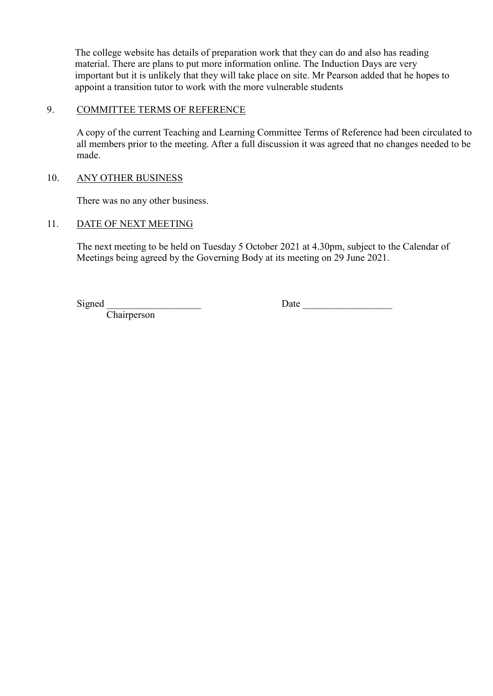The college website has details of preparation work that they can do and also has reading material. There are plans to put more information online. The Induction Days are very important but it is unlikely that they will take place on site. Mr Pearson added that he hopes to appoint a transition tutor to work with the more vulnerable students

# 9. COMMITTEE TERMS OF REFERENCE

A copy of the current Teaching and Learning Committee Terms of Reference had been circulated to all members prior to the meeting. After a full discussion it was agreed that no changes needed to be made.

## 10. ANY OTHER BUSINESS

There was no any other business.

## 11. DATE OF NEXT MEETING

The next meeting to be held on Tuesday 5 October 2021 at 4.30pm, subject to the Calendar of Meetings being agreed by the Governing Body at its meeting on 29 June 2021.

**Chairperson** 

Signed Date Date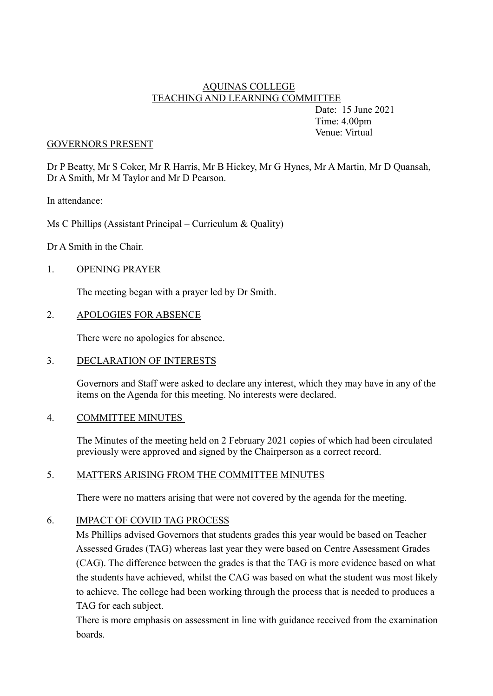## AQUINAS COLLEGE TEACHING AND LEARNING COMMITTEE

Date: 15 June 2021 Time: 4.00pm Venue: Virtual

#### GOVERNORS PRESENT

Dr P Beatty, Mr S Coker, Mr R Harris, Mr B Hickey, Mr G Hynes, Mr A Martin, Mr D Quansah, Dr A Smith, Mr M Taylor and Mr D Pearson.

In attendance:

Ms C Phillips (Assistant Principal – Curriculum & Quality)

Dr A Smith in the Chair.

#### 1. OPENING PRAYER

The meeting began with a prayer led by Dr Smith.

#### 2. APOLOGIES FOR ABSENCE

There were no apologies for absence.

#### 3. DECLARATION OF INTERESTS

Governors and Staff were asked to declare any interest, which they may have in any of the items on the Agenda for this meeting. No interests were declared.

#### 4. COMMITTEE MINUTES

The Minutes of the meeting held on 2 February 2021 copies of which had been circulated previously were approved and signed by the Chairperson as a correct record.

### 5. MATTERS ARISING FROM THE COMMITTEE MINUTES

There were no matters arising that were not covered by the agenda for the meeting.

### 6. IMPACT OF COVID TAG PROCESS

Ms Phillips advised Governors that students grades this year would be based on Teacher Assessed Grades (TAG) whereas last year they were based on Centre Assessment Grades (CAG). The difference between the grades is that the TAG is more evidence based on what the students have achieved, whilst the CAG was based on what the student was most likely to achieve. The college had been working through the process that is needed to produces a TAG for each subject.

There is more emphasis on assessment in line with guidance received from the examination boards.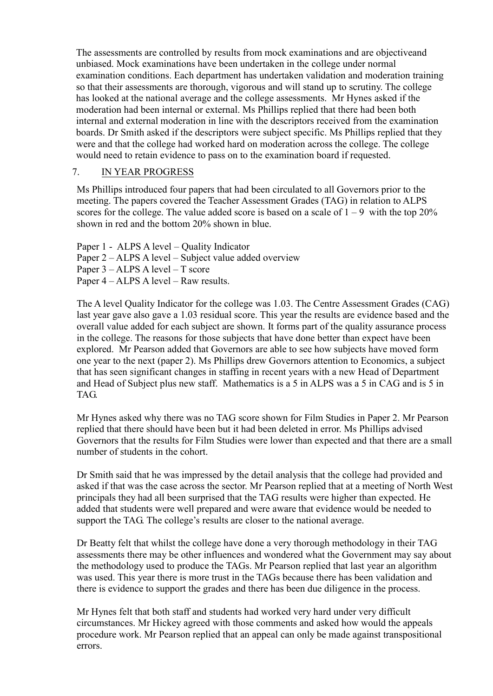The assessments are controlled by results from mock examinations and are objectiveand unbiased. Mock examinations have been undertaken in the college under normal examination conditions. Each department has undertaken validation and moderation training so that their assessments are thorough, vigorous and will stand up to scrutiny. The college has looked at the national average and the college assessments. Mr Hynes asked if the moderation had been internal or external. Ms Phillips replied that there had been both internal and external moderation in line with the descriptors received from the examination boards. Dr Smith asked if the descriptors were subject specific. Ms Phillips replied that they were and that the college had worked hard on moderation across the college. The college would need to retain evidence to pass on to the examination board if requested.

## 7. IN YEAR PROGRESS

Ms Phillips introduced four papers that had been circulated to all Governors prior to the meeting. The papers covered the Teacher Assessment Grades (TAG) in relation to ALPS scores for the college. The value added score is based on a scale of  $1 - 9$  with the top 20% shown in red and the bottom 20% shown in blue.

Paper 1 - ALPS A level – Quality Indicator Paper 2 – ALPS A level – Subject value added overview Paper 3 – ALPS A level – T score Paper 4 – ALPS A level – Raw results.

The A level Quality Indicator for the college was 1.03. The Centre Assessment Grades (CAG) last year gave also gave a 1.03 residual score. This year the results are evidence based and the overall value added for each subject are shown. It forms part of the quality assurance process in the college. The reasons for those subjects that have done better than expect have been explored. Mr Pearson added that Governors are able to see how subjects have moved form one year to the next (paper 2). Ms Phillips drew Governors attention to Economics, a subject that has seen significant changes in staffing in recent years with a new Head of Department and Head of Subject plus new staff. Mathematics is a 5 in ALPS was a 5 in CAG and is 5 in TAG.

Mr Hynes asked why there was no TAG score shown for Film Studies in Paper 2. Mr Pearson replied that there should have been but it had been deleted in error. Ms Phillips advised Governors that the results for Film Studies were lower than expected and that there are a small number of students in the cohort.

Dr Smith said that he was impressed by the detail analysis that the college had provided and asked if that was the case across the sector. Mr Pearson replied that at a meeting of North West principals they had all been surprised that the TAG results were higher than expected. He added that students were well prepared and were aware that evidence would be needed to support the TAG. The college's results are closer to the national average.

Dr Beatty felt that whilst the college have done a very thorough methodology in their TAG assessments there may be other influences and wondered what the Government may say about the methodology used to produce the TAGs. Mr Pearson replied that last year an algorithm was used. This year there is more trust in the TAGs because there has been validation and there is evidence to support the grades and there has been due diligence in the process.

Mr Hynes felt that both staff and students had worked very hard under very difficult circumstances. Mr Hickey agreed with those comments and asked how would the appeals procedure work. Mr Pearson replied that an appeal can only be made against transpositional errors.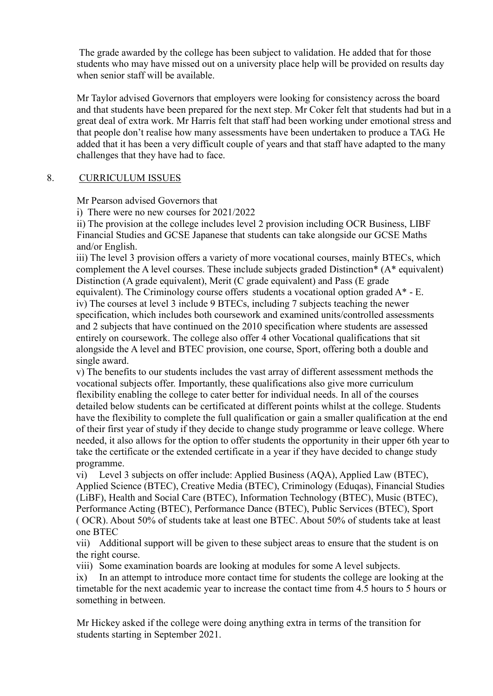The grade awarded by the college has been subject to validation. He added that for those students who may have missed out on a university place help will be provided on results day when senior staff will be available.

Mr Taylor advised Governors that employers were looking for consistency across the board and that students have been prepared for the next step. Mr Coker felt that students had but in a great deal of extra work. Mr Harris felt that staff had been working under emotional stress and that people don't realise how many assessments have been undertaken to produce a TAG. He added that it has been a very difficult couple of years and that staff have adapted to the many challenges that they have had to face.

## 8. CURRICULUM ISSUES

Mr Pearson advised Governors that

i) There were no new courses for 2021/2022

ii) The provision at the college includes level 2 provision including OCR Business, LIBF Financial Studies and GCSE Japanese that students can take alongside our GCSE Maths and/or English.

iii) The level 3 provision offers a variety of more vocational courses, mainly BTECs, which complement the A level courses. These include subjects graded Distinction\* (A\* equivalent) Distinction (A grade equivalent), Merit (C grade equivalent) and Pass (E grade equivalent). The Criminology course offers students a vocational option graded A\* - E. iv) The courses at level 3 include 9 BTECs, including 7 subjects teaching the newer specification, which includes both coursework and examined units/controlled assessments and 2 subjects that have continued on the 2010 specification where students are assessed entirely on coursework. The college also offer 4 other Vocational qualifications that sit alongside the A level and BTEC provision, one course, Sport, offering both a double and single award.

v) The benefits to our students includes the vast array of different assessment methods the vocational subjects offer. Importantly, these qualifications also give more curriculum flexibility enabling the college to cater better for individual needs. In all of the courses detailed below students can be certificated at different points whilst at the college. Students have the flexibility to complete the full qualification or gain a smaller qualification at the end of their first year of study if they decide to change study programme or leave college. Where needed, it also allows for the option to offer students the opportunity in their upper 6th year to take the certificate or the extended certificate in a year if they have decided to change study programme.

vi) Level 3 subjects on offer include: Applied Business (AQA), Applied Law (BTEC), Applied Science (BTEC), Creative Media (BTEC), Criminology (Eduqas), Financial Studies (LiBF), Health and Social Care (BTEC), Information Technology (BTEC), Music (BTEC), Performance Acting (BTEC), Performance Dance (BTEC), Public Services (BTEC), Sport ( OCR). About 50% of students take at least one BTEC. About 50% of students take at least one BTEC

vii) Additional support will be given to these subject areas to ensure that the student is on the right course.

viii) Some examination boards are looking at modules for some A level subjects.

ix) In an attempt to introduce more contact time for students the college are looking at the timetable for the next academic year to increase the contact time from 4.5 hours to 5 hours or something in between.

Mr Hickey asked if the college were doing anything extra in terms of the transition for students starting in September 2021.